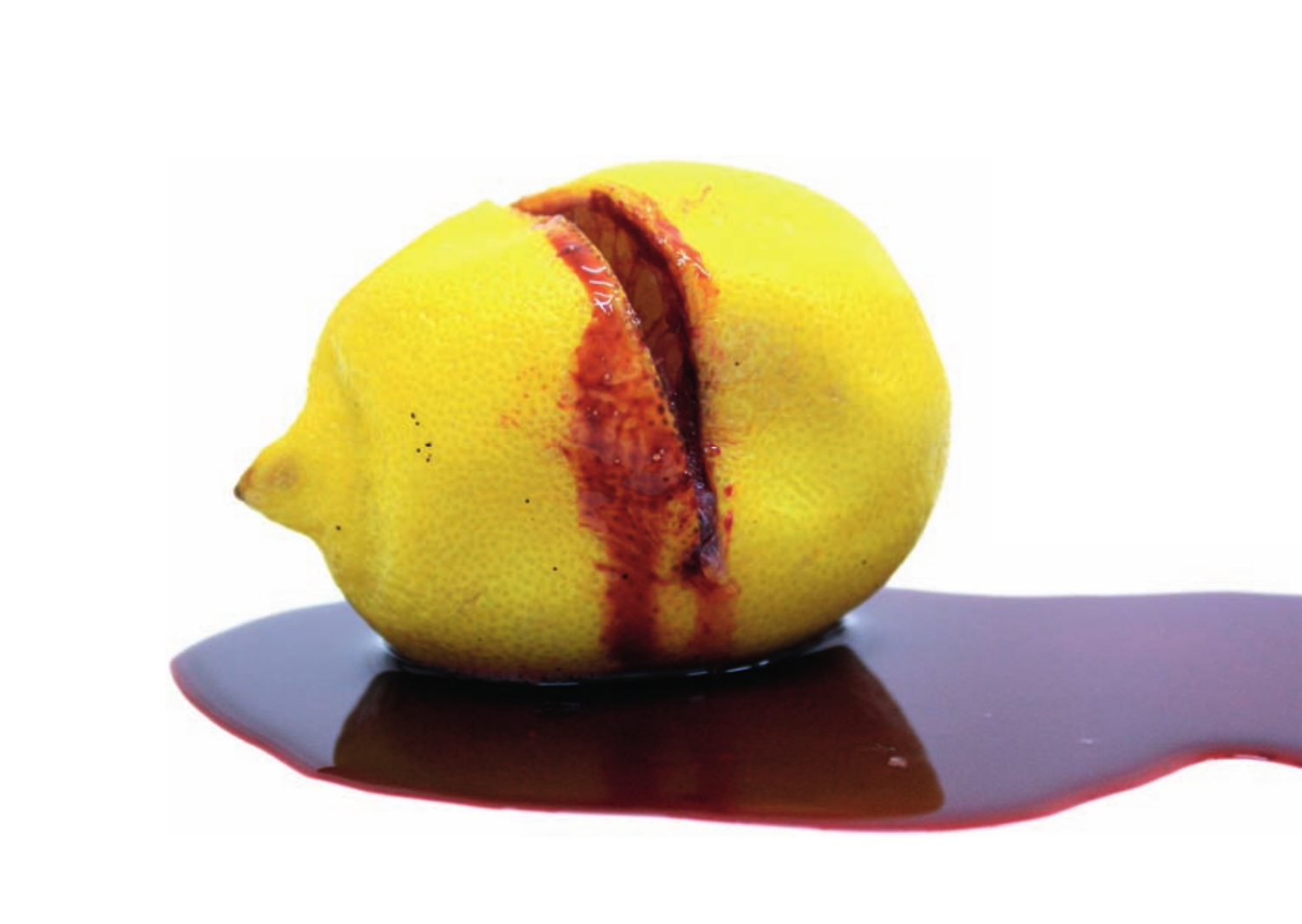